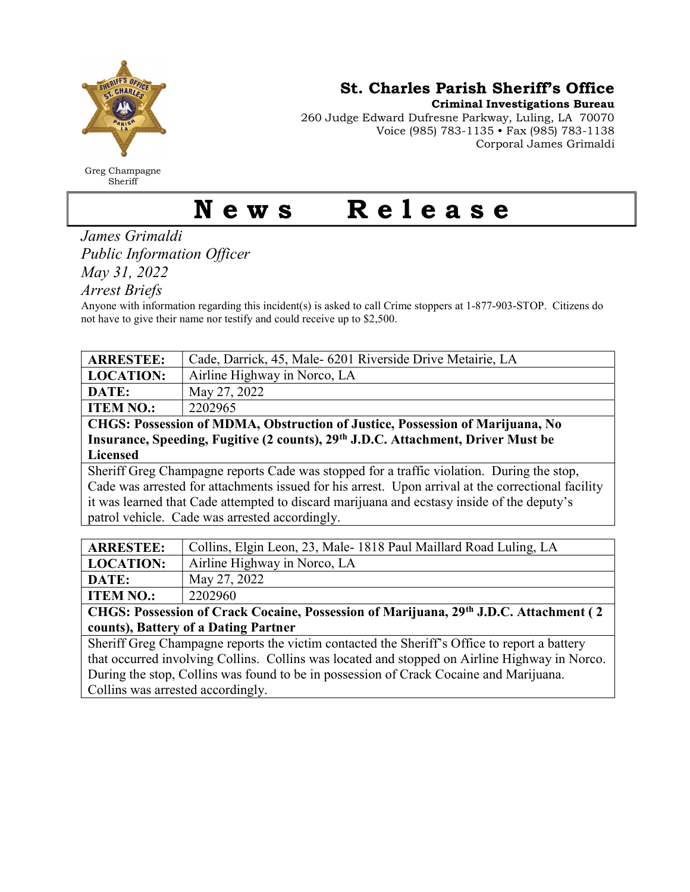

Greg Champagne Sheriff

St. Charles Parish Sheriff's Office

Criminal Investigations Bureau

260 Judge Edward Dufresne Parkway, Luling, LA 70070 Voice (985) 783-1135 • Fax (985) 783-1138 Corporal James Grimaldi

## News Release

James Grimaldi Public Information Officer May 31, 2022

Arrest Briefs

Anyone with information regarding this incident(s) is asked to call Crime stoppers at 1-877-903-STOP. Citizens do not have to give their name nor testify and could receive up to \$2,500.

| <b>ARRESTEE:</b>                                                                                   | Cade, Darrick, 45, Male- 6201 Riverside Drive Metairie, LA                                                                                                                                                                                                                                                                                                                                                                                                                        |  |
|----------------------------------------------------------------------------------------------------|-----------------------------------------------------------------------------------------------------------------------------------------------------------------------------------------------------------------------------------------------------------------------------------------------------------------------------------------------------------------------------------------------------------------------------------------------------------------------------------|--|
| <b>LOCATION:</b>                                                                                   | Airline Highway in Norco, LA                                                                                                                                                                                                                                                                                                                                                                                                                                                      |  |
| DATE:                                                                                              | May 27, 2022                                                                                                                                                                                                                                                                                                                                                                                                                                                                      |  |
| <b>ITEM NO.:</b>                                                                                   | 2202965                                                                                                                                                                                                                                                                                                                                                                                                                                                                           |  |
| CHGS: Possession of MDMA, Obstruction of Justice, Possession of Marijuana, No                      |                                                                                                                                                                                                                                                                                                                                                                                                                                                                                   |  |
| Insurance, Speeding, Fugitive (2 counts), 29 <sup>th</sup> J.D.C. Attachment, Driver Must be       |                                                                                                                                                                                                                                                                                                                                                                                                                                                                                   |  |
| <b>Licensed</b>                                                                                    |                                                                                                                                                                                                                                                                                                                                                                                                                                                                                   |  |
| Sheriff Greg Champagne reports Cade was stopped for a traffic violation. During the stop,          |                                                                                                                                                                                                                                                                                                                                                                                                                                                                                   |  |
| Cade was arrested for attachments issued for his arrest. Upon arrival at the correctional facility |                                                                                                                                                                                                                                                                                                                                                                                                                                                                                   |  |
| it was learned that Cade attempted to discard marijuana and ecstasy inside of the deputy's         |                                                                                                                                                                                                                                                                                                                                                                                                                                                                                   |  |
| patrol vehicle. Cade was arrested accordingly.                                                     |                                                                                                                                                                                                                                                                                                                                                                                                                                                                                   |  |
|                                                                                                    |                                                                                                                                                                                                                                                                                                                                                                                                                                                                                   |  |
|                                                                                                    | - ---<br>$-1$ $-$<br>$\mathbf{a} \cdot \mathbf{b}$ $\mathbf{c} \cdot \mathbf{d}$ $\mathbf{d} \cdot \mathbf{c}$ $\mathbf{d} \cdot \mathbf{c}$ $\mathbf{d} \cdot \mathbf{d} \cdot \mathbf{d} \cdot \mathbf{d} \cdot \mathbf{d} \cdot \mathbf{d} \cdot \mathbf{d} \cdot \mathbf{d} \cdot \mathbf{d} \cdot \mathbf{d} \cdot \mathbf{d} \cdot \mathbf{d} \cdot \mathbf{d} \cdot \mathbf{d} \cdot \mathbf{d} \cdot \mathbf{d} \cdot \mathbf{d} \cdot \mathbf{d} \cdot \mathbf{d} \cdot$ |  |

| <b>ARRESTEE:</b> | Collins, Elgin Leon, 23, Male-1818 Paul Maillard Road Luling, LA |
|------------------|------------------------------------------------------------------|
| <b>LOCATION:</b> | Airline Highway in Norco, LA                                     |
| DATE:            | May 27, 2022                                                     |
| <b>ITEM NO.:</b> | 2202960                                                          |

CHGS: Possession of Crack Cocaine, Possession of Marijuana, 29th J.D.C. Attachment ( 2 counts), Battery of a Dating Partner

Sheriff Greg Champagne reports the victim contacted the Sheriff's Office to report a battery that occurred involving Collins. Collins was located and stopped on Airline Highway in Norco. During the stop, Collins was found to be in possession of Crack Cocaine and Marijuana. Collins was arrested accordingly.